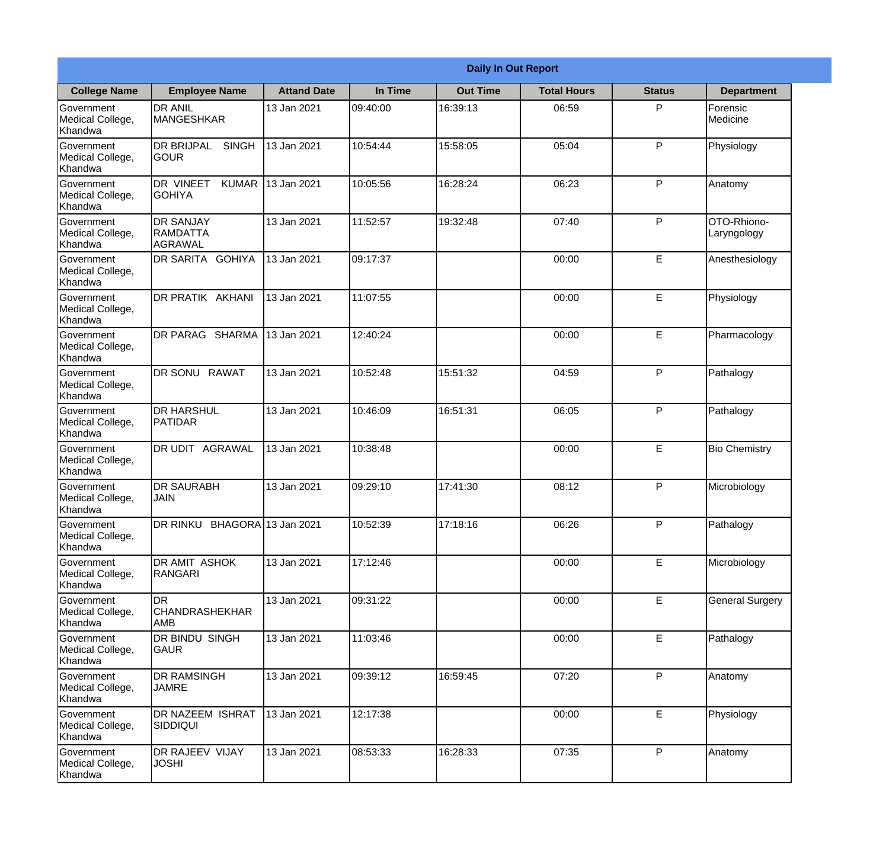|                                                  |                                                       |                    |          | <b>Daily In Out Report</b> |                    |               |                            |
|--------------------------------------------------|-------------------------------------------------------|--------------------|----------|----------------------------|--------------------|---------------|----------------------------|
| <b>College Name</b>                              | <b>Employee Name</b>                                  | <b>Attand Date</b> | In Time  | <b>Out Time</b>            | <b>Total Hours</b> | <b>Status</b> | <b>Department</b>          |
| Government<br>Medical College,<br>Khandwa        | <b>DR ANIL</b><br><b>MANGESHKAR</b>                   | 13 Jan 2021        | 09:40:00 | 16:39:13                   | 06:59              | P             | Forensic<br>Medicine       |
| Government<br>Medical College,<br>Khandwa        | <b>DR BRIJPAL</b><br><b>SINGH</b><br> GOUR            | 13 Jan 2021        | 10:54:44 | 15:58:05                   | 05:04              | P             | Physiology                 |
| <b>Government</b><br>Medical College,<br>Khandwa | <b>DR VINEET</b><br><b>KUMAR</b><br><b>I</b> GOHIYA   | 13 Jan 2021        | 10:05:56 | 16:28:24                   | 06:23              | P             | Anatomy                    |
| Government<br>Medical College,<br>Khandwa        | <b>DR SANJAY</b><br><b>RAMDATTA</b><br><b>AGRAWAL</b> | 13 Jan 2021        | 11:52:57 | 19:32:48                   | 07:40              | P             | OTO-Rhiono-<br>Laryngology |
| Government<br>Medical College,<br>Khandwa        | <b>IDR SARITA GOHIYA</b>                              | 13 Jan 2021        | 09:17:37 |                            | 00:00              | E             | Anesthesiology             |
| Government<br>Medical College,<br>Khandwa        | DR PRATIK AKHANI                                      | 13 Jan 2021        | 11:07:55 |                            | 00:00              | E             | Physiology                 |
| Government<br>Medical College,<br>Khandwa        | DR PARAG SHARMA                                       | 13 Jan 2021        | 12:40:24 |                            | 00:00              | E             | Pharmacology               |
| Government<br>Medical College,<br>Khandwa        | DR SONU RAWAT                                         | 13 Jan 2021        | 10:52:48 | 15:51:32                   | 04:59              | P             | Pathalogy                  |
| Government<br>Medical College,<br>Khandwa        | <b>DR HARSHUL</b><br>PATIDAR                          | 13 Jan 2021        | 10:46:09 | 16:51:31                   | 06:05              | P             | Pathalogy                  |
| Government<br>Medical College,<br>Khandwa        | DR UDIT<br><b>AGRAWAL</b>                             | 13 Jan 2021        | 10:38:48 |                            | 00:00              | E             | <b>Bio Chemistry</b>       |
| Government<br>Medical College,<br>Khandwa        | <b>IDR SAURABH</b><br><b>JAIN</b>                     | 13 Jan 2021        | 09:29:10 | 17:41:30                   | 08:12              | $\mathsf{P}$  | Microbiology               |
| Government<br>Medical College,<br>Khandwa        | DR RINKU BHAGORA 13 Jan 2021                          |                    | 10:52:39 | 17:18:16                   | 06:26              | P             | Pathalogy                  |
| Government<br>Medical College,<br>Khandwa        | DR AMIT ASHOK<br>RANGARI                              | 13 Jan 2021        | 17:12:46 |                            | 00:00              | E             | Microbiology               |
| Government<br>Medical College,<br>Khandwa        | <b>DR</b><br><b>CHANDRASHEKHAR</b><br><b>AMB</b>      | 13 Jan 2021        | 09:31:22 |                            | 00:00              | E             | <b>General Surgery</b>     |
| Government<br>Medical College,<br>Khandwa        | DR BINDU SINGH<br><b>GAUR</b>                         | 13 Jan 2021        | 11:03:46 |                            | 00:00              | E             | Pathalogy                  |
| Government<br>Medical College,<br>Khandwa        | <b>DR RAMSINGH</b><br><b>JAMRE</b>                    | 13 Jan 2021        | 09:39:12 | 16:59:45                   | 07:20              | P             | Anatomy                    |
| Government<br>Medical College,<br>Khandwa        | <b>DR NAZEEM ISHRAT</b><br><b>SIDDIQUI</b>            | 13 Jan 2021        | 12:17:38 |                            | 00:00              | E             | Physiology                 |
| Government<br>Medical College,<br>Khandwa        | <b>DR RAJEEV VIJAY</b><br><b>JOSHI</b>                | 13 Jan 2021        | 08:53:33 | 16:28:33                   | 07:35              | P             | Anatomy                    |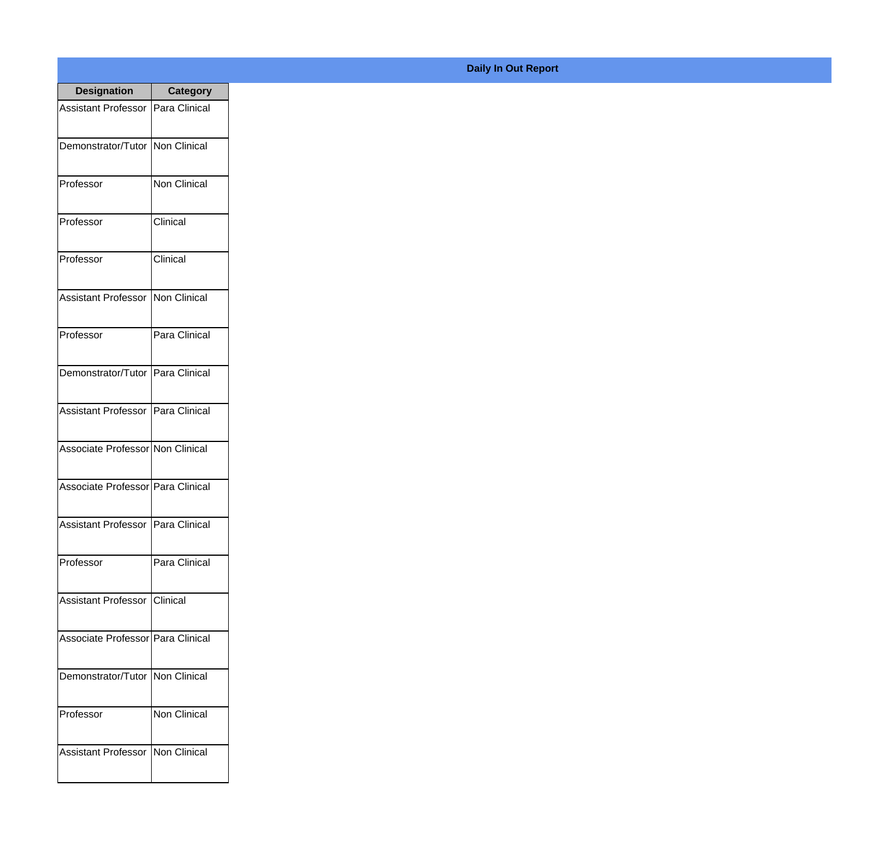| <b>Designation</b>                  | <b>Category</b>     |
|-------------------------------------|---------------------|
| <b>Assistant Professor</b>          | Para Clinical       |
| Demonstrator/Tutor                  | Non Clinical        |
| Professor                           | Non Clinical        |
| Professor                           | Clinical            |
| Professor                           | Clinical            |
| <b>Assistant Professor</b>          | Non Clinical        |
| Professor                           | Para Clinical       |
| Demonstrator/Tutor   Para Clinical  |                     |
| <b>Assistant Professor</b>          | Para Clinical       |
| Associate Professor Non Clinical    |                     |
| Associate Professor   Para Clinical |                     |
| Assistant Professor   Para Clinical |                     |
| Professor                           | Para Clinical       |
| Assistant Professor   Clinical      |                     |
| Associate Professor Para Clinical   |                     |
| Demonstrator/Tutor   Non Clinical   |                     |
| Professor                           | <b>Non Clinical</b> |
| Assistant Professor   Non Clinical  |                     |

**Daily In Out Report**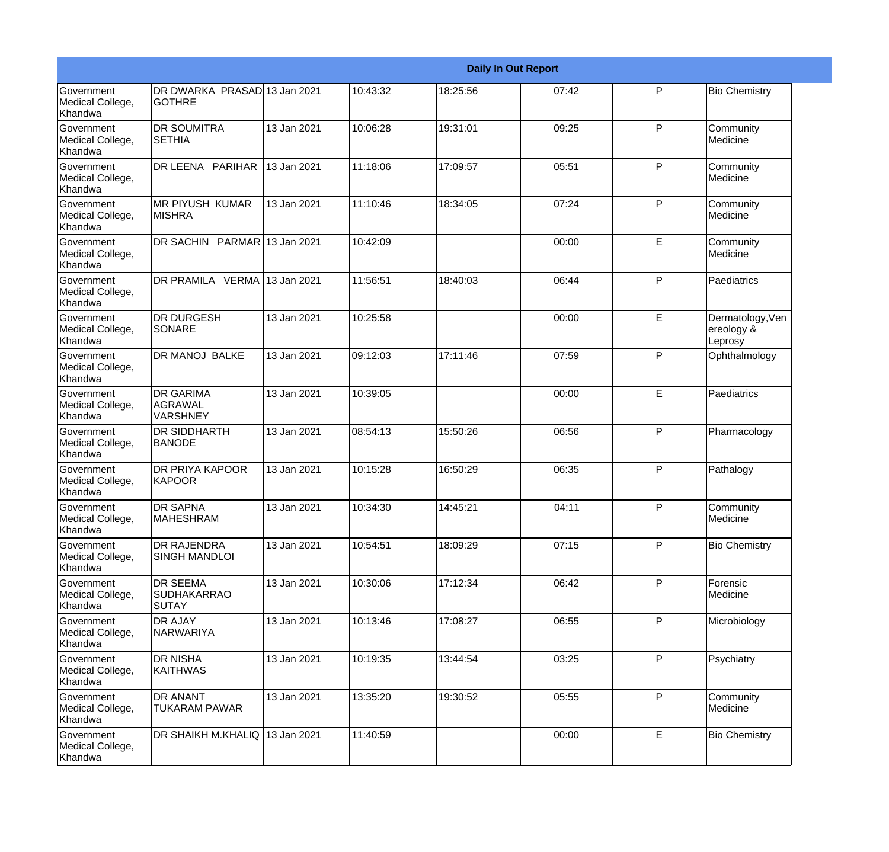|                                                  |                                                       |             |          |          | <b>Daily In Out Report</b> |              |                                           |
|--------------------------------------------------|-------------------------------------------------------|-------------|----------|----------|----------------------------|--------------|-------------------------------------------|
| <b>Government</b><br>Medical College,<br>Khandwa | DR DWARKA PRASAD 13 Jan 2021<br><b>GOTHRE</b>         |             | 10:43:32 | 18:25:56 | 07:42                      | P            | <b>Bio Chemistry</b>                      |
| Government<br>Medical College,<br>Khandwa        | <b>DR SOUMITRA</b><br><b>I</b> SETHIA                 | 13 Jan 2021 | 10:06:28 | 19:31:01 | 09:25                      | $\mathsf{P}$ | Community<br>Medicine                     |
| <b>Government</b><br>Medical College,<br>Khandwa | DR LEENA PARIHAR                                      | 13 Jan 2021 | 11:18:06 | 17:09:57 | 05:51                      | P            | Community<br>Medicine                     |
| <b>Government</b><br>Medical College,<br>Khandwa | <b>MR PIYUSH KUMAR</b><br><b>MISHRA</b>               | 13 Jan 2021 | 11:10:46 | 18:34:05 | 07:24                      | $\mathsf{P}$ | Community<br>Medicine                     |
| Government<br>Medical College,<br>Khandwa        | DR SACHIN PARMAR 13 Jan 2021                          |             | 10:42:09 |          | 00:00                      | E            | Community<br>Medicine                     |
| Government<br>Medical College,<br>Khandwa        | DR PRAMILA VERMA                                      | 13 Jan 2021 | 11:56:51 | 18:40:03 | 06:44                      | $\mathsf{P}$ | Paediatrics                               |
| <b>Government</b><br>Medical College,<br>Khandwa | <b>DR DURGESH</b><br>SONARE                           | 13 Jan 2021 | 10:25:58 |          | 00:00                      | E            | Dermatology, Ven<br>ereology &<br>Leprosy |
| <b>Government</b><br>Medical College,<br>Khandwa | DR MANOJ BALKE                                        | 13 Jan 2021 | 09:12:03 | 17:11:46 | 07:59                      | $\mathsf{P}$ | Ophthalmology                             |
| Government<br>Medical College,<br>Khandwa        | <b>DR GARIMA</b><br>AGRAWAL<br>VARSHNEY               | 13 Jan 2021 | 10:39:05 |          | 00:00                      | E            | Paediatrics                               |
| Government<br>Medical College,<br>Khandwa        | DR SIDDHARTH<br><b>BANODE</b>                         | 13 Jan 2021 | 08:54:13 | 15:50:26 | 06:56                      | $\mathsf{P}$ | Pharmacology                              |
| <b>Government</b><br>Medical College,<br>Khandwa | <b>DR PRIYA KAPOOR</b><br>KAPOOR                      | 13 Jan 2021 | 10:15:28 | 16:50:29 | 06:35                      | P            | Pathalogy                                 |
| Government<br>Medical College,<br>Khandwa        | <b>DR SAPNA</b><br><b>MAHESHRAM</b>                   | 13 Jan 2021 | 10:34:30 | 14:45:21 | 04:11                      | P            | Community<br>Medicine                     |
| Government<br>Medical College,<br>Khandwa        | DR RAJENDRA<br><b>SINGH MANDLOI</b>                   | 13 Jan 2021 | 10:54:51 | 18:09:29 | 07:15                      | P            | <b>Bio Chemistry</b>                      |
| <b>Government</b><br>Medical College,<br>Khandwa | <b>DR SEEMA</b><br><b>SUDHAKARRAO</b><br><b>SUTAY</b> | 13 Jan 2021 | 10:30:06 | 17:12:34 | 06:42                      | P            | Forensic<br>Medicine                      |
| Government<br>Medical College,<br>Khandwa        | <b>DR AJAY</b><br>NARWARIYA                           | 13 Jan 2021 | 10:13:46 | 17:08:27 | 06:55                      | $\mathsf{P}$ | Microbiology                              |
| Government<br>Medical College,<br>Khandwa        | <b>DR NISHA</b><br><b>KAITHWAS</b>                    | 13 Jan 2021 | 10:19:35 | 13:44:54 | 03:25                      | P            | Psychiatry                                |
| Government<br>Medical College,<br>Khandwa        | DR ANANT<br><b>TUKARAM PAWAR</b>                      | 13 Jan 2021 | 13:35:20 | 19:30:52 | 05:55                      | P            | Community<br>Medicine                     |
| Government<br>Medical College,<br>Khandwa        | DR SHAIKH M.KHALIQ                                    | 13 Jan 2021 | 11:40:59 |          | 00:00                      | E            | <b>Bio Chemistry</b>                      |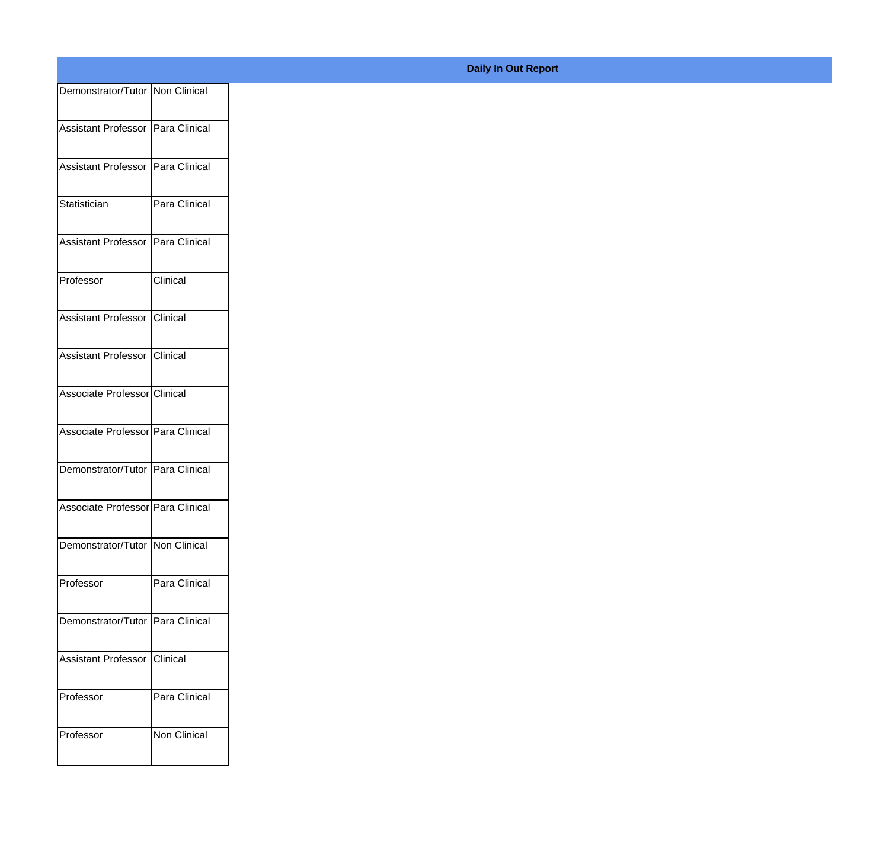| Demonstrator/Tutor Non Clinical     |               |
|-------------------------------------|---------------|
| Assistant Professor Para Clinical   |               |
|                                     |               |
| Assistant Professor Para Clinical   |               |
| Statistician                        | Para Clinical |
|                                     |               |
| Assistant Professor   Para Clinical |               |
| Professor                           | Clinical      |
|                                     |               |
| Assistant Professor Clinical        |               |
| Assistant Professor Clinical        |               |
|                                     |               |
| Associate Professor Clinical        |               |
| Associate Professor Para Clinical   |               |
|                                     |               |
| Demonstrator/Tutor Para Clinical    |               |
| Associate Professor   Para Clinical |               |
| Demonstrator/Tutor Non Clinical     |               |
|                                     |               |
| Professor                           | Para Clinical |
| Demonstrator/Tutor Para Clinical    |               |
|                                     |               |
| Assistant Professor Clinical        |               |
| Professor                           | Para Clinical |
|                                     |               |
| Professor                           | Non Clinical  |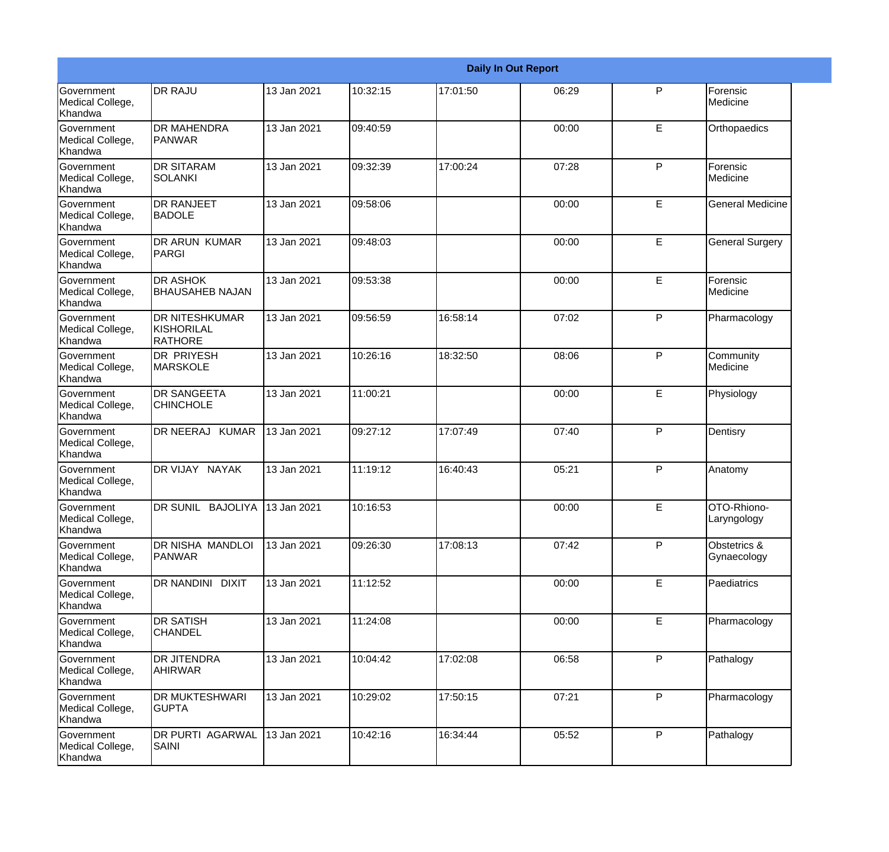|                                           |                                                |             |          |          | <b>Daily In Out Report</b> |              |                             |
|-------------------------------------------|------------------------------------------------|-------------|----------|----------|----------------------------|--------------|-----------------------------|
| Government<br>Medical College,<br>Khandwa | <b>DR RAJU</b>                                 | 13 Jan 2021 | 10:32:15 | 17:01:50 | 06:29                      | P            | Forensic<br>Medicine        |
| Government<br>Medical College,<br>Khandwa | <b>DR MAHENDRA</b><br><b>PANWAR</b>            | 13 Jan 2021 | 09:40:59 |          | 00:00                      | E            | Orthopaedics                |
| Government<br>Medical College,<br>Khandwa | <b>DR SITARAM</b><br><b>SOLANKI</b>            | 13 Jan 2021 | 09:32:39 | 17:00:24 | 07:28                      | P            | Forensic<br>Medicine        |
| Government<br>Medical College,<br>Khandwa | <b>DR RANJEET</b><br><b>BADOLE</b>             | 13 Jan 2021 | 09:58:06 |          | 00:00                      | E            | <b>General Medicine</b>     |
| Government<br>Medical College,<br>Khandwa | <b>DR ARUN KUMAR</b><br>PARGI                  | 13 Jan 2021 | 09:48:03 |          | 00:00                      | E            | <b>General Surgery</b>      |
| Government<br>Medical College,<br>Khandwa | <b>DR ASHOK</b><br><b>BHAUSAHEB NAJAN</b>      | 13 Jan 2021 | 09:53:38 |          | 00:00                      | E            | Forensic<br>Medicine        |
| Government<br>Medical College,<br>Khandwa | <b>DR NITESHKUMAR</b><br>KISHORILAL<br>RATHORE | 13 Jan 2021 | 09:56:59 | 16:58:14 | 07:02                      | P            | Pharmacology                |
| Government<br>Medical College,<br>Khandwa | <b>DR PRIYESH</b><br><b>MARSKOLE</b>           | 13 Jan 2021 | 10:26:16 | 18:32:50 | 08:06                      | $\mathsf{P}$ | Community<br>Medicine       |
| Government<br>Medical College,<br>Khandwa | <b>DR SANGEETA</b><br><b>CHINCHOLE</b>         | 13 Jan 2021 | 11:00:21 |          | 00:00                      | E            | Physiology                  |
| Government<br>Medical College,<br>Khandwa | DR NEERAJ KUMAR                                | 13 Jan 2021 | 09:27:12 | 17:07:49 | 07:40                      | $\mathsf{P}$ | Dentisry                    |
| Government<br>Medical College,<br>Khandwa | DR VIJAY NAYAK                                 | 13 Jan 2021 | 11:19:12 | 16:40:43 | 05:21                      | P            | Anatomy                     |
| Government<br>Medical College,<br>Khandwa | DR SUNIL BAJOLIYA 13 Jan 2021                  |             | 10:16:53 |          | 00:00                      | E            | OTO-Rhiono-<br>Laryngology  |
| Government<br>Medical College,<br>Khandwa | DR NISHA MANDLOI<br>PANWAR                     | 13 Jan 2021 | 09:26:30 | 17:08:13 | 07:42                      | P            | Obstetrics &<br>Gynaecology |
| Government<br>Medical College,<br>Khandwa | DR NANDINI DIXIT                               | 13 Jan 2021 | 11:12:52 |          | 00:00                      | E            | Paediatrics                 |
| Government<br>Medical College,<br>Khandwa | <b>DR SATISH</b><br><b>CHANDEL</b>             | 13 Jan 2021 | 11:24:08 |          | 00:00                      | E            | Pharmacology                |
| Government<br>Medical College,<br>Khandwa | <b>DR JITENDRA</b><br><b>AHIRWAR</b>           | 13 Jan 2021 | 10:04:42 | 17:02:08 | 06:58                      | P            | Pathalogy                   |
| Government<br>Medical College,<br>Khandwa | <b>DR MUKTESHWARI</b><br><b>GUPTA</b>          | 13 Jan 2021 | 10:29:02 | 17:50:15 | 07:21                      | $\mathsf{P}$ | Pharmacology                |
| Government<br>Medical College,<br>Khandwa | DR PURTI AGARWAL<br>SAINI                      | 13 Jan 2021 | 10:42:16 | 16:34:44 | 05:52                      | $\mathsf{P}$ | Pathalogy                   |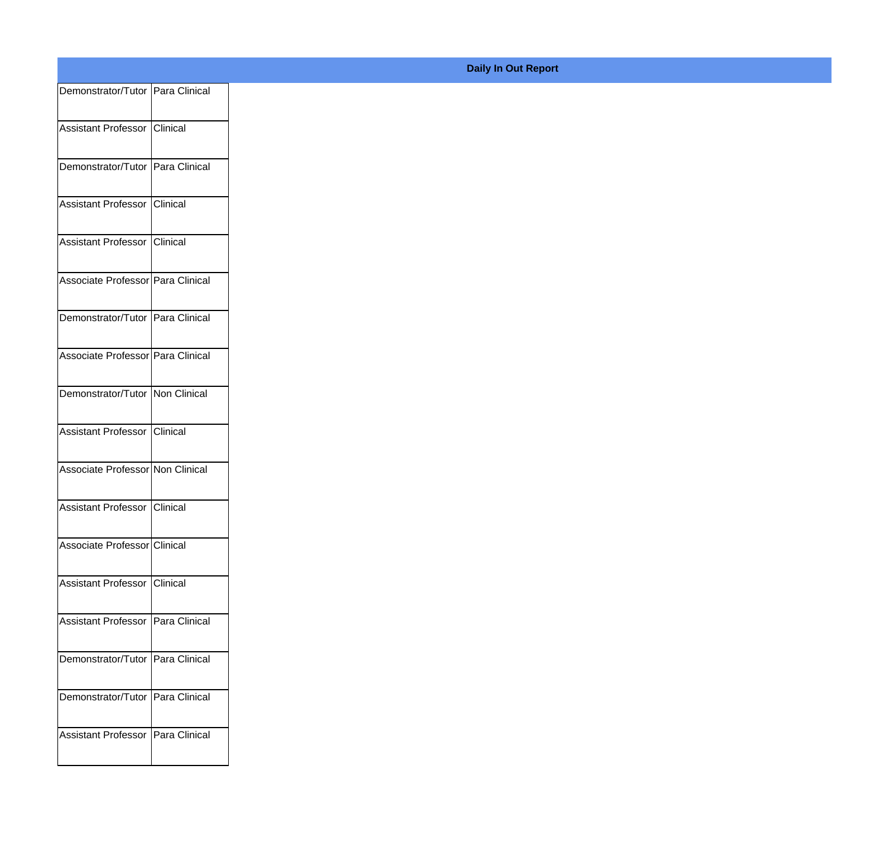| Demonstrator/Tutor Para Clinical    |  |
|-------------------------------------|--|
| Assistant Professor Clinical        |  |
| Demonstrator/Tutor Para Clinical    |  |
| Assistant Professor Clinical        |  |
| Assistant Professor Clinical        |  |
| Associate Professor Para Clinical   |  |
| Demonstrator/Tutor Para Clinical    |  |
| Associate Professor Para Clinical   |  |
| Demonstrator/Tutor Non Clinical     |  |
| Assistant Professor Clinical        |  |
| Associate Professor Non Clinical    |  |
| Assistant Professor Clinical        |  |
| Associate Professor Clinical        |  |
| Assistant Professor Clinical        |  |
| Assistant Professor Para Clinical   |  |
| Demonstrator/Tutor   Para Clinical  |  |
| Demonstrator/Tutor Para Clinical    |  |
|                                     |  |
| Assistant Professor   Para Clinical |  |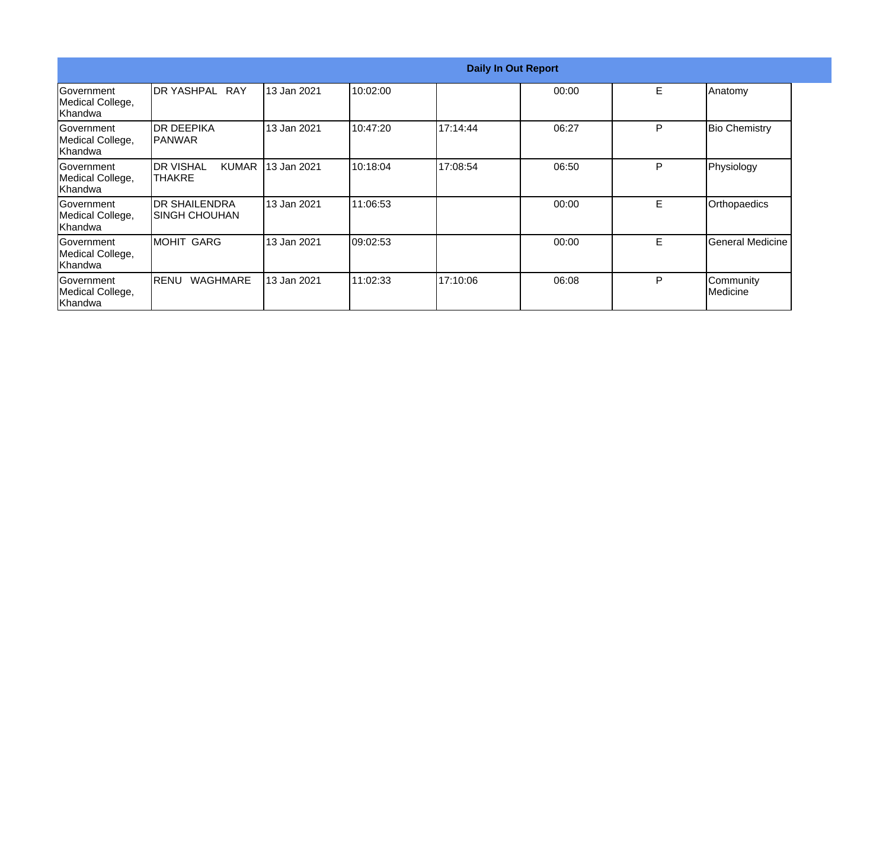|                                           |                                                    |             |          | <b>Daily In Out Report</b> |       |    |                         |
|-------------------------------------------|----------------------------------------------------|-------------|----------|----------------------------|-------|----|-------------------------|
| Government<br>Medical College,<br>Khandwa | DR YASHPAL RAY                                     | 13 Jan 2021 | 10:02:00 |                            | 00:00 | E. | Anatomy                 |
| Government<br>Medical College,<br>Khandwa | <b>IDR DEEPIKA</b><br>IPANWAR                      | 13 Jan 2021 | 10:47:20 | 17:14:44                   | 06:27 | P  | <b>Bio Chemistry</b>    |
| Government<br>Medical College,<br>Khandwa | <b>DR VISHAL</b><br><b>KUMAR</b><br><b>ITHAKRE</b> | 13 Jan 2021 | 10:18:04 | 17:08:54                   | 06:50 | P  | Physiology              |
| Government<br>Medical College,<br>Khandwa | <b>IDR SHAILENDRA</b><br>ISINGH CHOUHAN            | 13 Jan 2021 | 11:06:53 |                            | 00:00 | E  | Orthopaedics            |
| Government<br>Medical College,<br>Khandwa | <b>MOHIT GARG</b>                                  | 13 Jan 2021 | 09:02:53 |                            | 00:00 | E. | <b>General Medicine</b> |
| Government<br>Medical College,<br>Khandwa | <b>WAGHMARE</b><br><b>IRENU</b>                    | 13 Jan 2021 | 11:02:33 | 17:10:06                   | 06:08 | P  | Community<br>Medicine   |